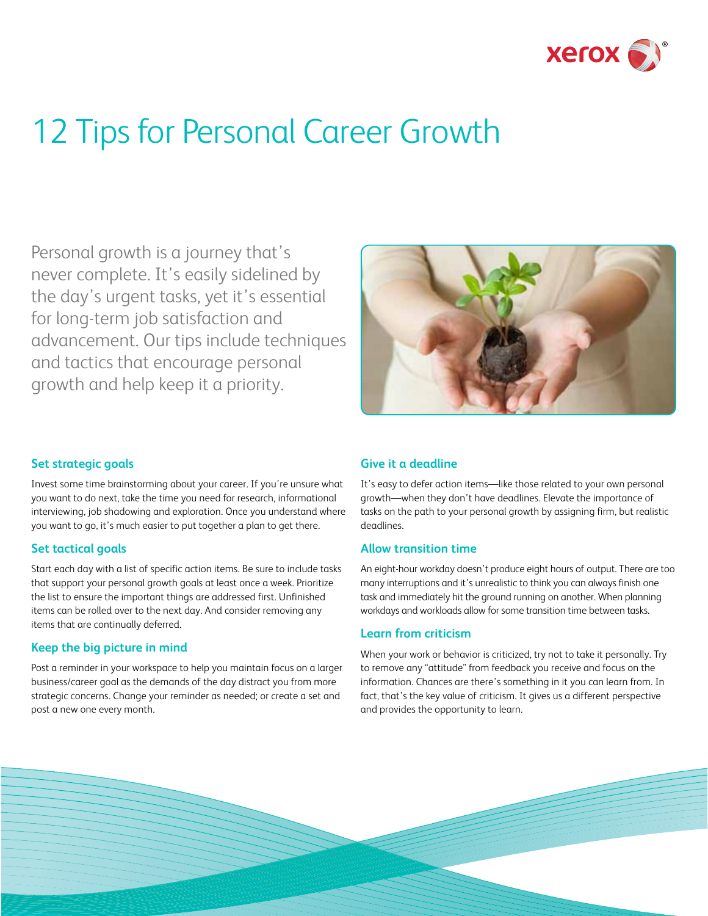

# 12 Tips for Personal Career Growth

Personal growth is a journey that's never complete. It's easily sidelined by the day's urgent tasks, yet it's essential for long-term job satisfaction and advancement. Our tips include techniques and tactics that encourage personal growth and help keep it a priority.



# **Set strategic goals**

Invest some time brainstorming about your career. If you're unsure what you want to do next, take the time you need for research, informational interviewing, job shadowing and exploration. Once you understand where you want to go, it's much easier to put together a plan to get there.

#### **Set tactical goals**

Start each day with a list of specific action items. Be sure to include tasks that support your personal growth goals at least once a week. Prioritize the list to ensure the important things are addressed first. Unfinished items can be rolled over to the next day. And consider removing any items that are continually deferred.

# **Keep the big picture in mind**

Post a reminder in your workspace to help you maintain focus on a larger business/career goal as the demands of the day distract you from more strategic concerns. Change your reminder as needed; or create a set and post a new one every month.

# **Give it a deadline**

It's easy to defer action items—like those related to your own personal growth—when they don't have deadlines. Elevate the importance of tasks on the path to your personal growth by assigning firm, but realistic deadlines.

# **Allow transition time**

An eight-hour workday doesn't produce eight hours of output. There are too many interruptions and it's unrealistic to think you can always finish one task and immediately hit the ground running on another. When planning workdays and workloads allow for some transition time between tasks.

#### **Learn from criticism**

When your work or behavior is criticized, try not to take it personally. Try to remove any "attitude" from feedback you receive and focus on the information. Chances are there's something in it you can learn from. In fact, that's the key value of criticism. It gives us a different perspective and provides the opportunity to learn.